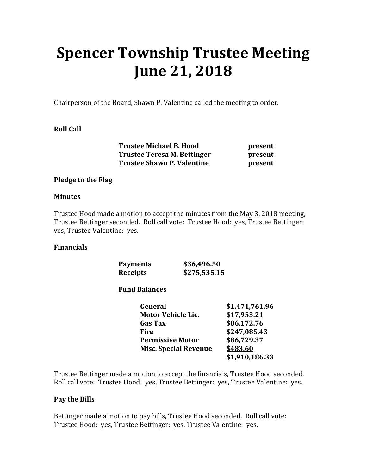# **Spencer Township Trustee Meeting June 21, 2018**

Chairperson of the Board, Shawn P. Valentine called the meeting to order.

## **Roll Call**

 **Trustee Michael B. Hood present Trustee Teresa M. Bettinger by resent Trustee Shawn P. Valentine present** 

#### **Pledge to the Flag**

#### **Minutes**

Trustee Hood made a motion to accept the minutes from the May 3, 2018 meeting, Trustee Bettinger seconded. Roll call vote: Trustee Hood: yes, Trustee Bettinger: yes, Trustee Valentine: yes.

#### **Financials**

| <b>Payments</b> | \$36,496.50  |
|-----------------|--------------|
| <b>Receipts</b> | \$275,535.15 |

#### **Fund Balances**

| General                      | \$1,471,761.96 |
|------------------------------|----------------|
| <b>Motor Vehicle Lic.</b>    | \$17,953.21    |
| <b>Gas Tax</b>               | \$86,172.76    |
| Fire                         | \$247,085.43   |
| <b>Permissive Motor</b>      | \$86,729.37    |
| <b>Misc. Special Revenue</b> | \$483.60       |
|                              | \$1,910,186.33 |

Trustee Bettinger made a motion to accept the financials, Trustee Hood seconded. Roll call vote: Trustee Hood: yes, Trustee Bettinger: yes, Trustee Valentine: yes.

#### **Pay the Bills**

Bettinger made a motion to pay bills, Trustee Hood seconded. Roll call vote: Trustee Hood: yes, Trustee Bettinger: yes, Trustee Valentine: yes.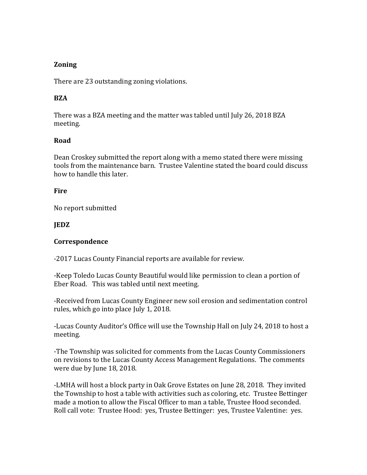## **Zoning**

There are 23 outstanding zoning violations.

## **BZA**

There was a BZA meeting and the matter was tabled until July 26, 2018 BZA meeting.

## **Road**

Dean Croskey submitted the report along with a memo stated there were missing tools from the maintenance barn. Trustee Valentine stated the board could discuss how to handle this later.

#### **Fire**

No report submitted

## **JEDZ**

## **Correspondence**

-2017 Lucas County Financial reports are available for review.

-Keep Toledo Lucas County Beautiful would like permission to clean a portion of Eber Road. This was tabled until next meeting.

-Received from Lucas County Engineer new soil erosion and sedimentation control rules, which go into place July 1, 2018.

-Lucas County Auditor's Office will use the Township Hall on July 24, 2018 to host a meeting.

-The Township was solicited for comments from the Lucas County Commissioners on revisions to the Lucas County Access Management Regulations. The comments were due by June 18, 2018.

-LMHA will host a block party in Oak Grove Estates on June 28, 2018. They invited the Township to host a table with activities such as coloring, etc. Trustee Bettinger made a motion to allow the Fiscal Officer to man a table, Trustee Hood seconded. Roll call vote: Trustee Hood: yes, Trustee Bettinger: yes, Trustee Valentine: yes.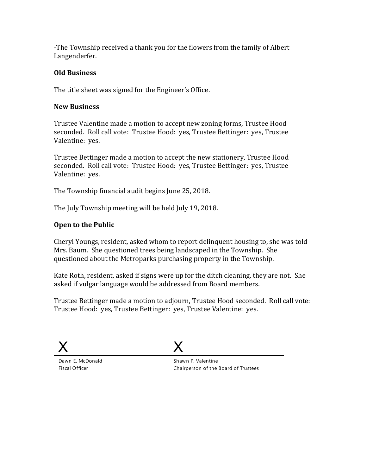-The Township received a thank you for the flowers from the family of Albert Langenderfer.

## **Old Business**

The title sheet was signed for the Engineer's Office.

#### **New Business**

Trustee Valentine made a motion to accept new zoning forms, Trustee Hood seconded. Roll call vote: Trustee Hood: yes, Trustee Bettinger: yes, Trustee Valentine: yes.

Trustee Bettinger made a motion to accept the new stationery, Trustee Hood seconded. Roll call vote: Trustee Hood: yes, Trustee Bettinger: yes, Trustee Valentine: yes.

The Township financial audit begins June 25, 2018.

The July Township meeting will be held July 19, 2018.

## **Open to the Public**

Cheryl Youngs, resident, asked whom to report delinquent housing to, she was told Mrs. Baum. She questioned trees being landscaped in the Township. She questioned about the Metroparks purchasing property in the Township.

Kate Roth, resident, asked if signs were up for the ditch cleaning, they are not. She asked if vulgar language would be addressed from Board members.

Trustee Bettinger made a motion to adjourn, Trustee Hood seconded. Roll call vote: Trustee Hood: yes, Trustee Bettinger: yes, Trustee Valentine: yes.



Dawn E. McDonald Fiscal Officer



Shawn P. Valentine Chairperson of the Board of Trustees